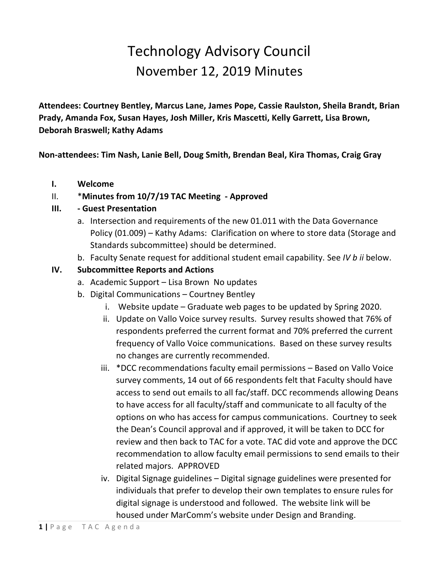# Technology Advisory Council November 12, 2019 Minutes

**Attendees: Courtney Bentley, Marcus Lane, James Pope, Cassie Raulston, Sheila Brandt, Brian Prady, Amanda Fox, Susan Hayes, Josh Miller, Kris Mascetti, Kelly Garrett, Lisa Brown, Deborah Braswell; Kathy Adams**

**Non-attendees: Tim Nash, Lanie Bell, Doug Smith, Brendan Beal, Kira Thomas, Craig Gray**

**I. Welcome**

# II. \***Minutes from 10/7/19 TAC Meeting - Approved**

### **III. - Guest Presentation**

- a. Intersection and requirements of the new 01.011 with the Data Governance Policy (01.009) – Kathy Adams: Clarification on where to store data (Storage and Standards subcommittee) should be determined.
- b. Faculty Senate request for additional student email capability. See *IV b ii* below.

### **IV. Subcommittee Reports and Actions**

- a. Academic Support Lisa Brown No updates
- b. Digital Communications Courtney Bentley
	- i. Website update Graduate web pages to be updated by Spring 2020.
	- ii. Update on Vallo Voice survey results. Survey results showed that 76% of respondents preferred the current format and 70% preferred the current frequency of Vallo Voice communications. Based on these survey results no changes are currently recommended.
	- iii. \*DCC recommendations faculty email permissions Based on Vallo Voice survey comments, 14 out of 66 respondents felt that Faculty should have access to send out emails to all fac/staff. DCC recommends allowing Deans to have access for all faculty/staff and communicate to all faculty of the options on who has access for campus communications. Courtney to seek the Dean's Council approval and if approved, it will be taken to DCC for review and then back to TAC for a vote. TAC did vote and approve the DCC recommendation to allow faculty email permissions to send emails to their related majors. APPROVED
	- iv. Digital Signage guidelines Digital signage guidelines were presented for individuals that prefer to develop their own templates to ensure rules for digital signage is understood and followed. The website link will be housed under MarComm's website under Design and Branding.